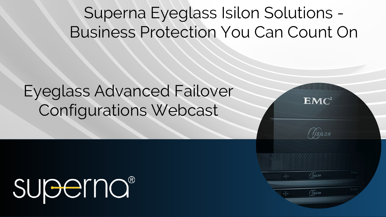# Superna Eyeglass Isilon Solutions - Business Protection You Can Count On

 $EMC<sup>2</sup>$ 

(Os)LON

*GsjLon* 

*CISILON* 

# Eyeglass Advanced Failover Configurations Webcast

# **SUBErnO®**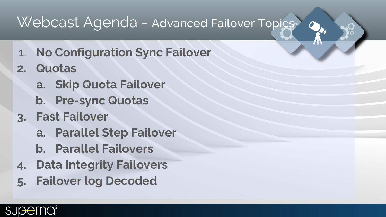### Webcast Agenda - Advanced Failover Topics

- 1. **No Configuration Sync Failover**
- **2. Quotas** 
	- **a. Skip Quota Failover**
	- **b. Pre-sync Quotas**
- **3. Fast Failover**
	- **a. Parallel Step Failover**
	- **b. Parallel Failovers**
- **4. Data Integrity Failovers**
- **5. Failover log Decoded**

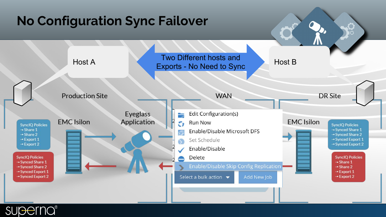#### **No Configuration Sync Failover** Host A Two Different hosts and Host B Exports - No Need to Sync **WAN Production Site DR Site** Edit Configuration(s) Eyeglass ≒ **EMC** Isilon **EMC** Isilon Application **Run Now** C) **SyncIO Policies SyncIQ Policies**  $\rightarrow$  Share 1 Synced Share 1 Enable/Disable Microsoft DFS  $\rightarrow$  Share 2 Synced Share 2  $\rightarrow$  Export 1 → Synced Export 1 Set Schedule  $\rightarrow$  Export 2 → Synced Export 2 Enable/Disable **SyncIQ Policies SyncIQ Policies** Delete Synced Share 1  $\rightarrow$  Share 1 **Enable/Disable Skip Config Replication** → Synced Share 2  $\rightarrow$  Share 2 → Synced Export 1  $\rightarrow$  Export 1 → Synced Export 2 Select a bulk action  $\rightarrow$ Add New Job  $\rightarrow$  Export 2

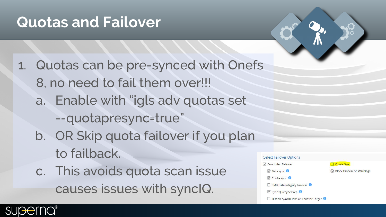### **Quotas and Failover**

1. Quotas can be pre-synced with Onefs 8, no need to fail them over!!! a. Enable with "igls adv quotas set --quotapresync=true" b. OR Skip quota failover if you plan to failback. c. This avoids quota scan issue C Data sync

causes issues with syncIQ.

#### **Select Failover Options**

Controlled Failover

#### Ouota Sync

**Block Failover on Warnings** 

 $\mathbb Z$  Config sync

SMB Data Integrity Failover

SynciQ Resync Prep

Disable SynciQ Jobs on Failover Target

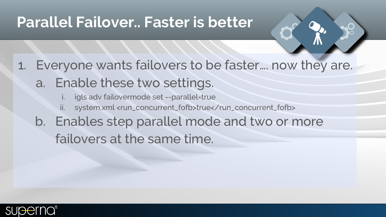### **Parallel Failover.. Faster is better**

### 1. Everyone wants failovers to be faster…. now they are. a. Enable these two settings.

- igls adv failovermode set --parallel-true
- ii. system.xml <run\_concurrent\_fofb>true</run\_concurrent\_fofb>
- b. Enables step parallel mode and two or more failovers at the same time.

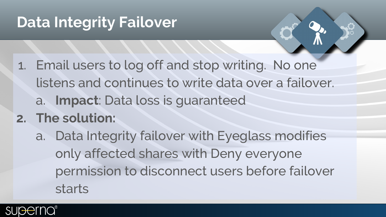# **Data Integrity Failover**

- 1. Email users to log off and stop writing. No one listens and continues to write data over a failover. a. **Impact**: Data loss is guaranteed
- **2. The solution:**
	- a. Data Integrity failover with Eyeglass modifies only affected shares with Deny everyone permission to disconnect users before failover starts

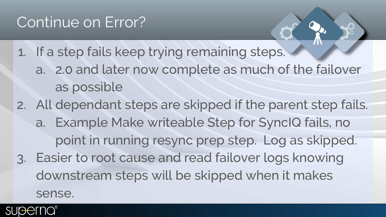- 1. If a step fails keep trying remaining steps. a. 2.0 and later now complete as much of the failover as possible
- 2. All dependant steps are skipped if the parent step fails. a. Example Make writeable Step for SyncIQ fails, no point in running resync prep step. Log as skipped. 3. Easier to root cause and read failover logs knowing downstream steps will be skipped when it makes sense.